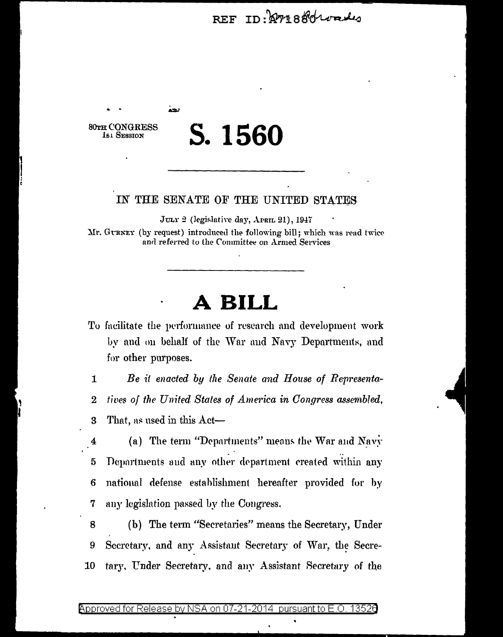REF ID: APP18801000

**80TH CONGRESS 161 SESSION** 

بعدة

# S. 1560

### IN THE SENATE OF THE UNITED STATES

JULY 2 (legislative day, APRIL 21), 1947 Mr. GURNEY (by request) introduced the following bill; which was read twice and referred to the Committee on Armed Services

### A BILL

To facilitate the performance of research and development work by and on behalf of the War and Navy Departments, and for other purposes.

 $\mathbf{1}$ Be it enacted by the Senate and House of Representa- $\overline{2}$ tives of the United States of America in Congress assembled,

That, as used in this Act-3

(a) The term "Departments" means the War and Navy 4 Departments and any other department created within any 5 national defense establishment hereafter provided for by 6 any legislation passed by the Congress. 7

(b) The term "Secretaries" means the Secretary, Under 8 Secretary, and any Assistant Secretary of War, the Secre-9 tary, Under Secretary, and any Assistant Secretary of the 10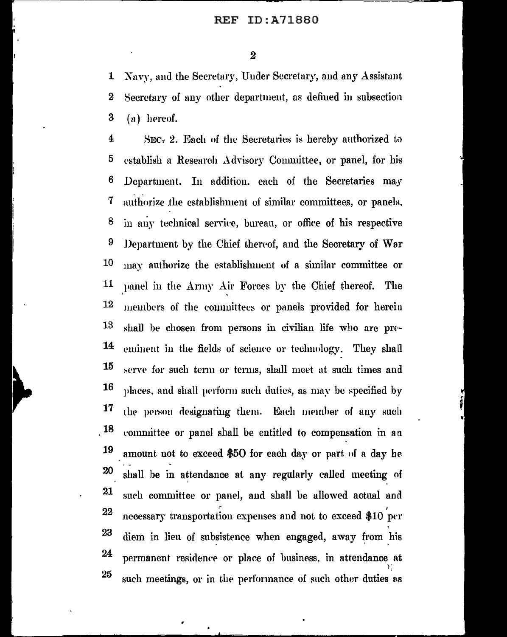#### ID:A71880 REF

 $\overline{\mathbf{2}}$ 

Navy, and the Secretary, Under Secretary, and any Assistant 1  $\bf{2}$ Secretary of any other department, as defined in subsection 3 (a) hereof.

 $\overline{\mathbf{4}}$ SEC- 2. Each of the Secretaries is hereby authorized to 5 establish a Research Advisory Committee, or panel, for his 6 Department. In addition, each of the Secretaries may 7 authorize the establishment of similar committees, or panels, 8 in any technical service, bureau, or office of his respective 9 Department by the Chief thereof, and the Secretary of War 10 may authorize the establishment of a similar committee or 11 panel in the Army Air Forces by the Chief thereof. The 12 members of the committees or panels provided for herein 13 shall be chosen from persons in civilian life who are pre-14 eminent in the fields of science or technology. They shall 15 serve for such term or terms, shall meet at such times and 16 places, and shall perform such dutics, as may be specified by 17 the person designating them. Each member of any such 18 committee or panel shall be entitled to compensation in an 19 amount not to exceed \$50 for each day or part of a day he 20 shall be in attendance at any regularly called meeting of 21 such committee or panel, and shall be allowed actual and 22 necessary transportation expenses and not to exceed \$10 per 23 diem in lieu of subsistence when engaged, away from his 24 permanent residence or place of business, in attendance at 25 such meetings, or in the performance of such other duties as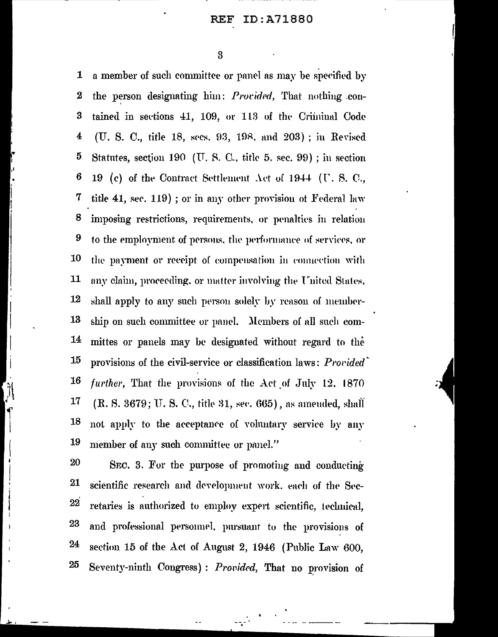#### ID:A71880 REF

3

a member of such committee or panel as may be specified by 1  $\boldsymbol{2}$ the person designating him: *Provided*, That nothing con-3 tained in sections 41, 109, or 113 of the Criminal Code 4 (U. S. C., title 18, secs. 93, 198, and 203); in Revised 5 Statutes, section 190 (U.S.C., title 5, sec. 99); in section  $6\phantom{1}6$ 19 (c) of the Contract Settlement Act of 1944 (U.S.C., 7 title 41, sec. 119); or in any other provision of Federal law 8 imposing restrictions, requirements, or penalties in relation 9 to the employment of persons, the performance of services, or 10 the payment or receipt of compensation in connection with 11 any claim, proceeding, or matter involving the United States, 12 shall apply to any such person solely by reason of member-13 ship on such committee or panel. Members of all such com-14 mittes or panels may be designated without regard to the 15 provisions of the civil-service or classification laws: Provided 16 further, That the provisions of the Act of July 12, 1870 17 (R. S. 3679; U. S. C., title 31, sec. 665), as amended, shall 18 not apply to the acceptance of voluntary service by any 19 member of any such committee or panel."

20 SEC. 3. For the purpose of promoting and conducting 21 scientific research and development work, each of the Sec- $22$ retaries is authorized to employ expert scientific, technical, 23 and professional personnel, pursuant to the provisions of 24 section 15 of the Act of August 2, 1946 (Public Law 600, 25 Seventy-ninth Congress): Provided, That no provision of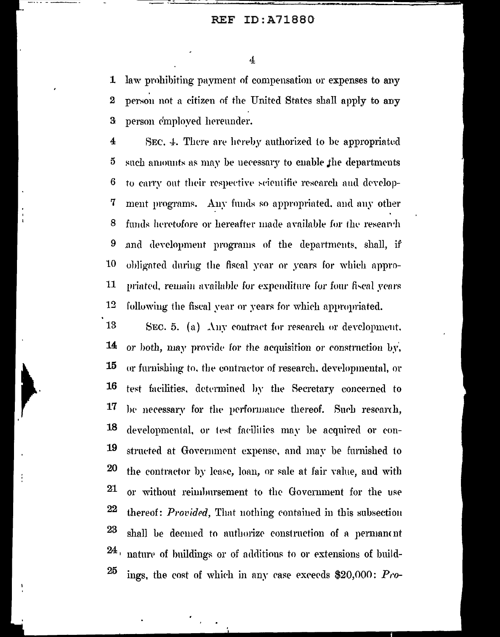#### **REF** ID:A71880

 $\overline{4}$ 

law prohibiting payment of compensation or expenses to any  $\mathbf{1}$ person not a citizen of the United States shall apply to any  $\overline{2}$ 3 person employed hereunder.

 $\overline{4}$ SEC, 4. There are hereby authorized to be appropriated  $\bf{5}$ such amounts as may be necessary to enable the departments 6 to carry out their respective scientific research and develop-7 ment programs. Any funds so appropriated, and any other 8 funds heretofore or hereafter made available for the research 9 and development programs of the departments, shall, if 10 obligated during the fiscal year or years for which appro-11 priated, remain available for expenditure for four fiscal years 12 following the fiscal vear or years for which appropriated.

13 SEC. 5. (a) Any contract for research or development. 14 or both, may provide for the acquisition or construction by, 15 or furnishing to, the contractor of research, developmental, or 16 test facilities, determined by the Secretary concerned to 17 be necessary for the performance thereof. Such research, 18 developmental, or test facilities may be acquired or con-19 structed at Government expense, and may be furnished to 20 the contractor by lease, loan, or sale at fair value, and with 21 or without reimbursement to the Government for the use 22 thereof: *Provided*, That nothing contained in this subsection 23 shall be deemed to authorize construction of a permanent  $24<sub>1</sub>$ nature of buildings or of additions to or extensions of build-25 ings, the cost of which in any case exceeds  $$20,000$ :  $P_{0}$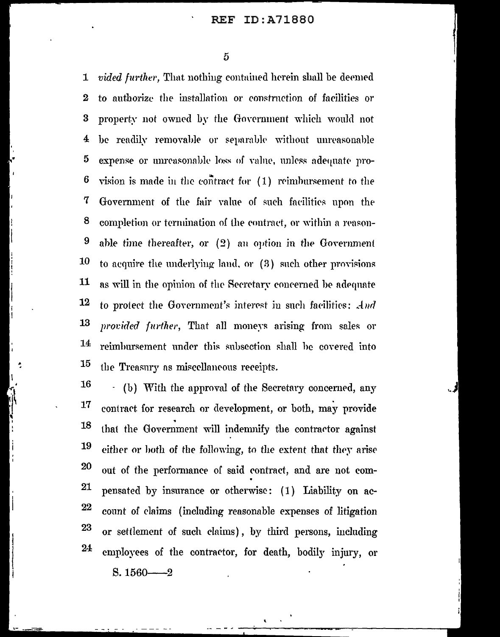#### ID:A71880 **REF**

5

*vided further*, That nothing contained herein shall be deemed  $\mathbf 1$ to authorize the installation or construction of facilities or  $\boldsymbol{2}$  $\bf{3}$ property not owned by the Government which would not be readily removable or separable without unreasonable 4 5 expense or unreasonable loss of value, unless adequate pro-6 vision is made in the contract for (1) reimbursement to the 7 Government of the fair value of such facilities upon the 8 completion or termination of the contract, or within a reason-9 able time thereafter, or (2) an option in the Government 10 to acquire the underlying land, or (3) such other provisions  $11$ as will in the opinion of the Secretary concerned be adequate 12 to protect the Government's interest in such facilities: And 13 provided further, That all moneys arising from sales or 14 reimbursement under this subsection shall be covered into 15 the Treasury as miscellaneous receipts.

16 - (b) With the approval of the Secretary concerned, any 17 contract for research or development, or both, may provide 18 that the Government will indemnify the contractor against 19 either or both of the following, to the extent that they arise 20 out of the performance of said contract, and are not com-21 pensated by insurance or otherwise: (1) Liability on ac- $22\,$ count of claims (including reasonable expenses of litigation 23 or settlement of such claims), by third persons, including 24 employees of the contractor, for death, bodily injury, or

 $S. 1560 - 2$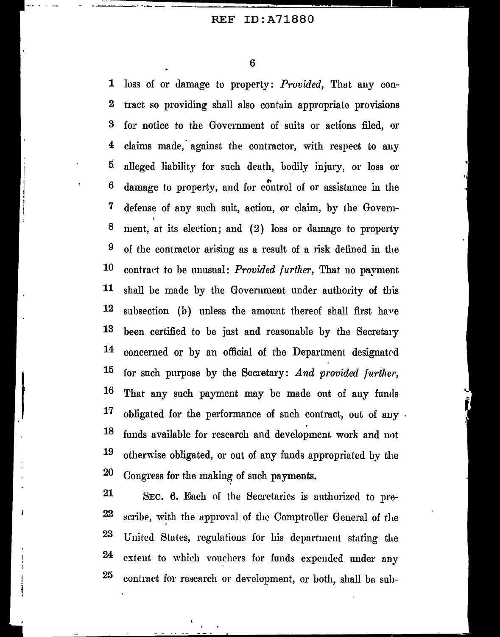6

1 loss of or damage to property: *Provided,* That any con-2 tract. so providing shall also contuin appropriate provisions 3 for notice to the Government of suits or actions filed, or  $4$  claims made, against the contractor, with respect to any 5 alleged liability for such death, bodily injury, or loss or 6 damage to property, and for control of or assistance in the 7 defense of any such suit, action, or claim, by the Goven1- 8 ment, at its election; and (2) loss or damage to property 9 of the contractor arising as a result of a risk defined in the 10 contract to be unusual: *Provided further*, That no payment 11 shall be made by the Government under authority of this  $12$  subsection (b) unless the amount thereof shall first have  $13$  been certified to be just and reasonable by the Secretary 14 concerned or by an official of the Department designated 15 for such purpose by the Secretary: *And provided further*, 16 That any such payment may be made out of any fumls  $17$  obligated for the performance of such contract, out of auy  $18$  funds available for research and development work and not 19 otherwise obligated, or out of any funds appropriated by the 20 Congress for the making of such payments.

 $21$  SEC. 6. Each of the Secretaries is authorized to pre- $22$  scribe, with the approval of the Comptroller General of the 23 United States, regulations for his department stating the 24 extent to which vouchers for funds expended under any  $25$  contract for research or development, or both, shall be sub-

 $\mathbf{I}$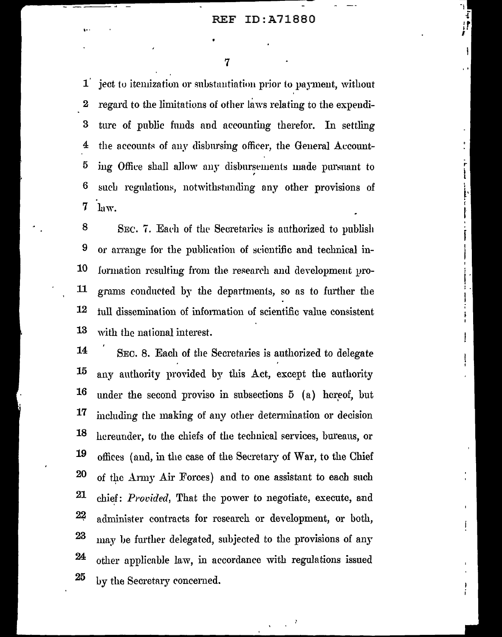ī

I,

ł

7

ject to itemization or substantiation prior to payment, without  $\mathbf{1}$ regard to the limitations of other laws relating to the expendi- $\bf{2}$ ture of public funds and accounting therefor. In settling 3 the accounts of any disbursing officer, the General Account-4 5 ing Office shall allow any disbursements made pursuant to 6 such regulations, notwithstanding any other provisions of 7 law.

8 SEC. 7. Each of the Secretaries is authorized to publish 9 or arrange for the publication of scientific and technical in-10 formation resulting from the research and development pro-11 grams conducted by the departments, so as to further the 12 tull dissemination of information of scientific value consistent 13 with the national interest.

14 SEC. 8. Each of the Secretaries is authorized to delegate 15 any authority provided by this Act, except the authority 16 under the second proviso in subsections 5 (a) hereof, but 17 including the making of any other determination or decision 18 hereunder, to the chiefs of the technical services, bureaus, or 19 offices (and, in the case of the Secretary of War, to the Chief **20** of the Army Air Forces) and to one assistant to each such 21 chief: *Provided*, That the power to negotiate, execute, and 22 administer contracts for research or development, or both, 23 may be further delegated, subjected to the provisions of any 24 other applicable law, in accordance with regulations issued 25 by the Secretary concerned.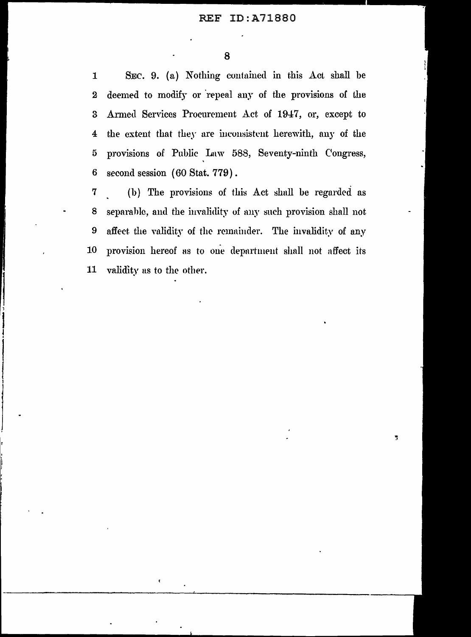SEC. 9. (a) Nothing contained in this Act shall be  $\mathbf{1}$ deemed to modify or repeal any of the provisions of the  $\overline{2}$ Armed Services Procurement Act of 1947, or, except to  $\overline{\mathbf{3}}$ the extent that they are inconsistent herewith, any of the  $\overline{\mathbf{4}}$ provisions of Public Law 588, Seventy-ninth Congress,  $\tilde{\mathbf{d}}$ second session (60 Stat. 779). 6

(b) The provisions of this Act shall be regarded as  ${\bf 7}$ separable, and the invalidity of any such provision shall not 8 affect the validity of the remainder. The invalidity of any  $9$ 10 provision hereof as to one department shall not affect its 11 validity as to the other.

 $\pmb{\epsilon}$ 

ÿ.